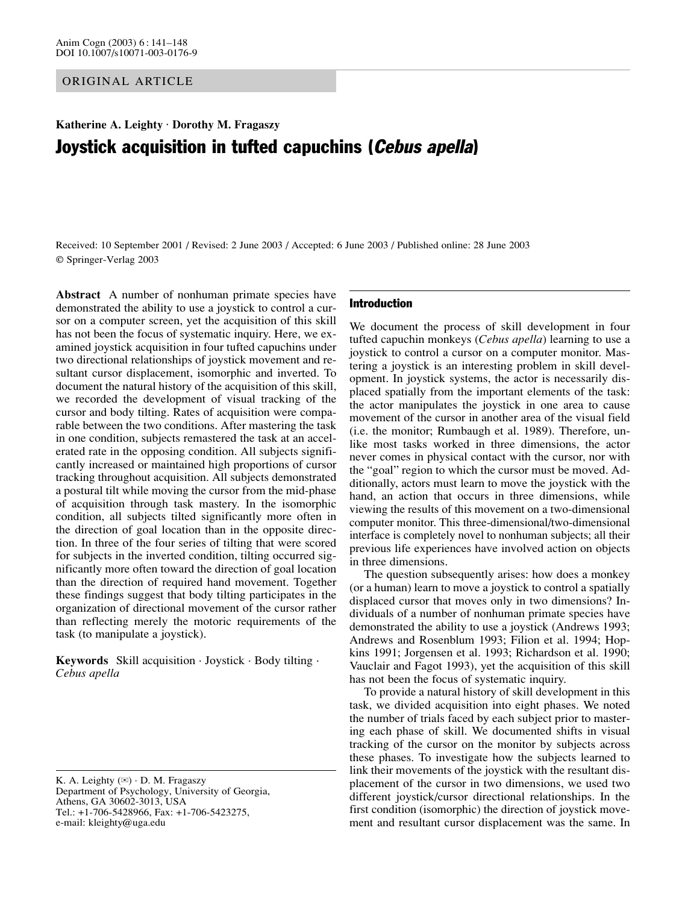# ORIGINAL ARTICLE

# **Katherine A. Leighty · Dorothy M. Fragaszy** Joystick acquisition in tufted capuchins (Cebus apella)

Received: 10 September 2001 / Revised: 2 June 2003 / Accepted: 6 June 2003 / Published online: 28 June 2003 © Springer-Verlag 2003

**Abstract** A number of nonhuman primate species have demonstrated the ability to use a joystick to control a cursor on a computer screen, yet the acquisition of this skill has not been the focus of systematic inquiry. Here, we examined joystick acquisition in four tufted capuchins under two directional relationships of joystick movement and resultant cursor displacement, isomorphic and inverted. To document the natural history of the acquisition of this skill, we recorded the development of visual tracking of the cursor and body tilting. Rates of acquisition were comparable between the two conditions. After mastering the task in one condition, subjects remastered the task at an accelerated rate in the opposing condition. All subjects significantly increased or maintained high proportions of cursor tracking throughout acquisition. All subjects demonstrated a postural tilt while moving the cursor from the mid-phase of acquisition through task mastery. In the isomorphic condition, all subjects tilted significantly more often in the direction of goal location than in the opposite direction. In three of the four series of tilting that were scored for subjects in the inverted condition, tilting occurred significantly more often toward the direction of goal location than the direction of required hand movement. Together these findings suggest that body tilting participates in the organization of directional movement of the cursor rather than reflecting merely the motoric requirements of the task (to manipulate a joystick).

**Keywords** Skill acquisition · Joystick · Body tilting · *Cebus apella*

K. A. Leighty  $(\mathbb{Z}) \cdot D$ . M. Fragaszy Department of Psychology, University of Georgia, Athens, GA 30602-3013, USA Tel.: +1-706-5428966, Fax: +1-706-5423275, e-mail: kleighty@uga.edu

## Introduction

We document the process of skill development in four tufted capuchin monkeys (*Cebus apella*) learning to use a joystick to control a cursor on a computer monitor. Mastering a joystick is an interesting problem in skill development. In joystick systems, the actor is necessarily displaced spatially from the important elements of the task: the actor manipulates the joystick in one area to cause movement of the cursor in another area of the visual field (i.e. the monitor; Rumbaugh et al. 1989). Therefore, unlike most tasks worked in three dimensions, the actor never comes in physical contact with the cursor, nor with the "goal" region to which the cursor must be moved. Additionally, actors must learn to move the joystick with the hand, an action that occurs in three dimensions, while viewing the results of this movement on a two-dimensional computer monitor. This three-dimensional/two-dimensional interface is completely novel to nonhuman subjects; all their previous life experiences have involved action on objects in three dimensions.

The question subsequently arises: how does a monkey (or a human) learn to move a joystick to control a spatially displaced cursor that moves only in two dimensions? Individuals of a number of nonhuman primate species have demonstrated the ability to use a joystick (Andrews 1993; Andrews and Rosenblum 1993; Filion et al. 1994; Hopkins 1991; Jorgensen et al. 1993; Richardson et al. 1990; Vauclair and Fagot 1993), yet the acquisition of this skill has not been the focus of systematic inquiry.

To provide a natural history of skill development in this task, we divided acquisition into eight phases. We noted the number of trials faced by each subject prior to mastering each phase of skill. We documented shifts in visual tracking of the cursor on the monitor by subjects across these phases. To investigate how the subjects learned to link their movements of the joystick with the resultant displacement of the cursor in two dimensions, we used two different joystick/cursor directional relationships. In the first condition (isomorphic) the direction of joystick movement and resultant cursor displacement was the same. In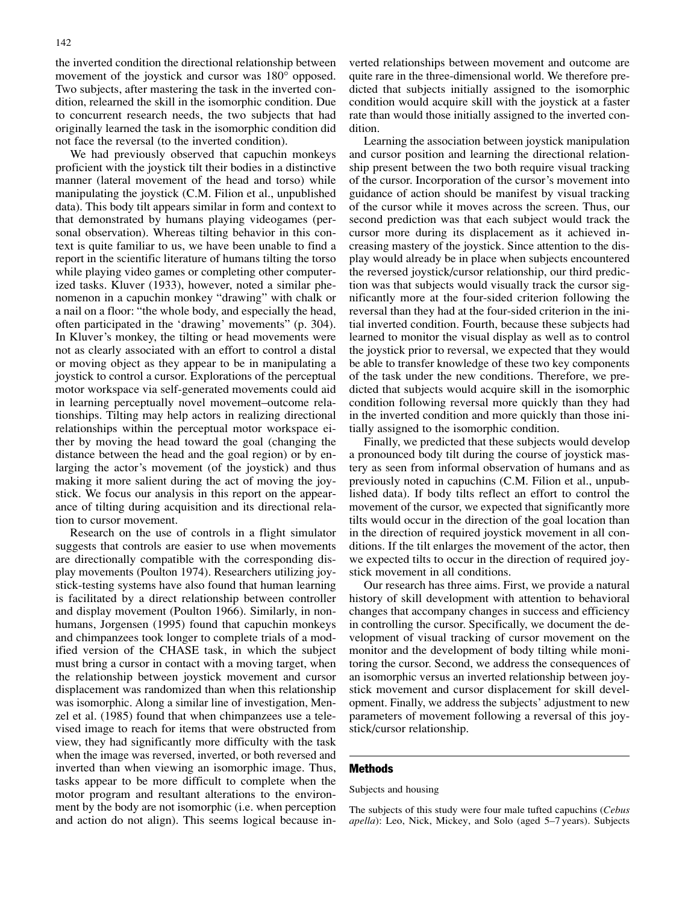the inverted condition the directional relationship between movement of the joystick and cursor was 180° opposed. Two subjects, after mastering the task in the inverted condition, relearned the skill in the isomorphic condition. Due to concurrent research needs, the two subjects that had originally learned the task in the isomorphic condition did not face the reversal (to the inverted condition).

We had previously observed that capuchin monkeys proficient with the joystick tilt their bodies in a distinctive manner (lateral movement of the head and torso) while manipulating the joystick (C.M. Filion et al., unpublished data). This body tilt appears similar in form and context to that demonstrated by humans playing videogames (personal observation). Whereas tilting behavior in this context is quite familiar to us, we have been unable to find a report in the scientific literature of humans tilting the torso while playing video games or completing other computerized tasks. Kluver (1933), however, noted a similar phenomenon in a capuchin monkey "drawing" with chalk or a nail on a floor: "the whole body, and especially the head, often participated in the 'drawing' movements" (p. 304). In Kluver's monkey, the tilting or head movements were not as clearly associated with an effort to control a distal or moving object as they appear to be in manipulating a joystick to control a cursor. Explorations of the perceptual motor workspace via self-generated movements could aid in learning perceptually novel movement–outcome relationships. Tilting may help actors in realizing directional relationships within the perceptual motor workspace either by moving the head toward the goal (changing the distance between the head and the goal region) or by enlarging the actor's movement (of the joystick) and thus making it more salient during the act of moving the joystick. We focus our analysis in this report on the appearance of tilting during acquisition and its directional relation to cursor movement.

Research on the use of controls in a flight simulator suggests that controls are easier to use when movements are directionally compatible with the corresponding display movements (Poulton 1974). Researchers utilizing joystick-testing systems have also found that human learning is facilitated by a direct relationship between controller and display movement (Poulton 1966). Similarly, in nonhumans, Jorgensen (1995) found that capuchin monkeys and chimpanzees took longer to complete trials of a modified version of the CHASE task, in which the subject must bring a cursor in contact with a moving target, when the relationship between joystick movement and cursor displacement was randomized than when this relationship was isomorphic. Along a similar line of investigation, Menzel et al. (1985) found that when chimpanzees use a televised image to reach for items that were obstructed from view, they had significantly more difficulty with the task when the image was reversed, inverted, or both reversed and inverted than when viewing an isomorphic image. Thus, tasks appear to be more difficult to complete when the motor program and resultant alterations to the environment by the body are not isomorphic (i.e. when perception and action do not align). This seems logical because in-

verted relationships between movement and outcome are quite rare in the three-dimensional world. We therefore predicted that subjects initially assigned to the isomorphic condition would acquire skill with the joystick at a faster rate than would those initially assigned to the inverted condition.

Learning the association between joystick manipulation and cursor position and learning the directional relationship present between the two both require visual tracking of the cursor. Incorporation of the cursor's movement into guidance of action should be manifest by visual tracking of the cursor while it moves across the screen. Thus, our second prediction was that each subject would track the cursor more during its displacement as it achieved increasing mastery of the joystick. Since attention to the display would already be in place when subjects encountered the reversed joystick/cursor relationship, our third prediction was that subjects would visually track the cursor significantly more at the four-sided criterion following the reversal than they had at the four-sided criterion in the initial inverted condition. Fourth, because these subjects had learned to monitor the visual display as well as to control the joystick prior to reversal, we expected that they would be able to transfer knowledge of these two key components of the task under the new conditions. Therefore, we predicted that subjects would acquire skill in the isomorphic condition following reversal more quickly than they had in the inverted condition and more quickly than those initially assigned to the isomorphic condition.

Finally, we predicted that these subjects would develop a pronounced body tilt during the course of joystick mastery as seen from informal observation of humans and as previously noted in capuchins (C.M. Filion et al., unpublished data). If body tilts reflect an effort to control the movement of the cursor, we expected that significantly more tilts would occur in the direction of the goal location than in the direction of required joystick movement in all conditions. If the tilt enlarges the movement of the actor, then we expected tilts to occur in the direction of required joystick movement in all conditions.

Our research has three aims. First, we provide a natural history of skill development with attention to behavioral changes that accompany changes in success and efficiency in controlling the cursor. Specifically, we document the development of visual tracking of cursor movement on the monitor and the development of body tilting while monitoring the cursor. Second, we address the consequences of an isomorphic versus an inverted relationship between joystick movement and cursor displacement for skill development. Finally, we address the subjects' adjustment to new parameters of movement following a reversal of this joystick/cursor relationship.

## Methods

#### Subjects and housing

The subjects of this study were four male tufted capuchins (*Cebus apella*): Leo, Nick, Mickey, and Solo (aged 5–7 years). Subjects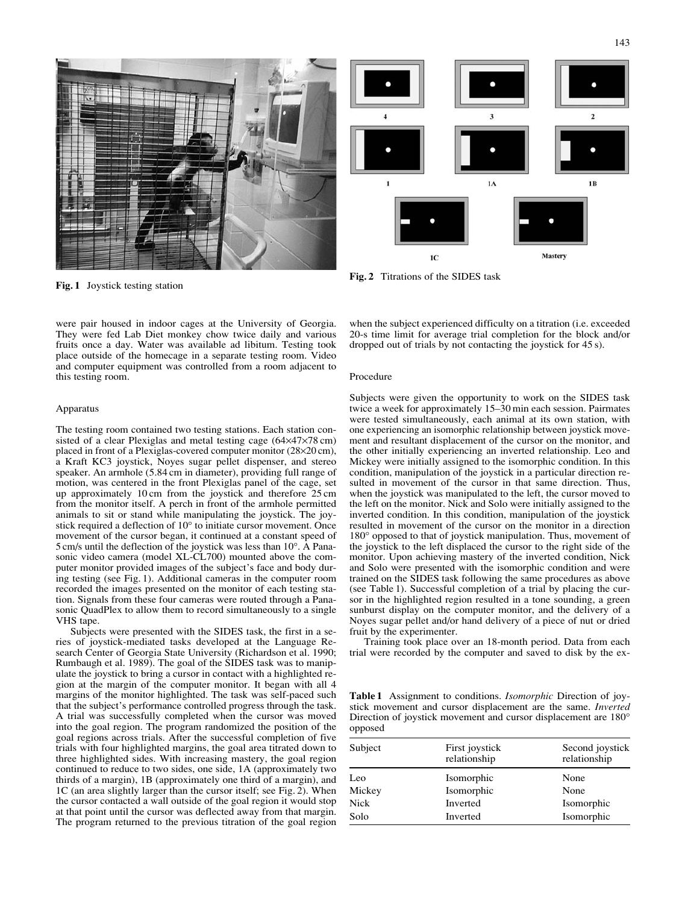



**Fig. 2** Titrations of the SIDES task

were pair housed in indoor cages at the University of Georgia. They were fed Lab Diet monkey chow twice daily and various fruits once a day. Water was available ad libitum. Testing took place outside of the homecage in a separate testing room. Video

and computer equipment was controlled from a room adjacent to

#### Apparatus

this testing room.

**Fig. 1** Joystick testing station

The testing room contained two testing stations. Each station consisted of a clear Plexiglas and metal testing cage (64×47×78 cm) placed in front of a Plexiglas-covered computer monitor (28×20 cm), a Kraft KC3 joystick, Noyes sugar pellet dispenser, and stereo speaker. An armhole (5.84 cm in diameter), providing full range of motion, was centered in the front Plexiglas panel of the cage, set up approximately 10 cm from the joystick and therefore 25 cm from the monitor itself. A perch in front of the armhole permitted animals to sit or stand while manipulating the joystick. The joystick required a deflection of 10° to initiate cursor movement. Once movement of the cursor began, it continued at a constant speed of 5 cm/s until the deflection of the joystick was less than 10°. A Panasonic video camera (model XL-CL700) mounted above the computer monitor provided images of the subject's face and body during testing (see Fig. 1). Additional cameras in the computer room recorded the images presented on the monitor of each testing station. Signals from these four cameras were routed through a Panasonic QuadPlex to allow them to record simultaneously to a single VHS tape.

Subjects were presented with the SIDES task, the first in a series of joystick-mediated tasks developed at the Language Research Center of Georgia State University (Richardson et al. 1990; Rumbaugh et al. 1989). The goal of the SIDES task was to manipulate the joystick to bring a cursor in contact with a highlighted region at the margin of the computer monitor. It began with all 4 margins of the monitor highlighted. The task was self-paced such that the subject's performance controlled progress through the task. A trial was successfully completed when the cursor was moved into the goal region. The program randomized the position of the goal regions across trials. After the successful completion of five trials with four highlighted margins, the goal area titrated down to three highlighted sides. With increasing mastery, the goal region continued to reduce to two sides, one side, 1A (approximately two thirds of a margin), 1B (approximately one third of a margin), and 1C (an area slightly larger than the cursor itself; see Fig. 2). When the cursor contacted a wall outside of the goal region it would stop at that point until the cursor was deflected away from that margin. The program returned to the previous titration of the goal region when the subject experienced difficulty on a titration (i.e. exceeded 20-s time limit for average trial completion for the block and/or dropped out of trials by not contacting the joystick for 45 s).

#### Procedure

Subjects were given the opportunity to work on the SIDES task twice a week for approximately 15–30 min each session. Pairmates were tested simultaneously, each animal at its own station, with one experiencing an isomorphic relationship between joystick movement and resultant displacement of the cursor on the monitor, and the other initially experiencing an inverted relationship. Leo and Mickey were initially assigned to the isomorphic condition. In this condition, manipulation of the joystick in a particular direction resulted in movement of the cursor in that same direction. Thus, when the joystick was manipulated to the left, the cursor moved to the left on the monitor. Nick and Solo were initially assigned to the inverted condition. In this condition, manipulation of the joystick resulted in movement of the cursor on the monitor in a direction 180° opposed to that of joystick manipulation. Thus, movement of the joystick to the left displaced the cursor to the right side of the monitor. Upon achieving mastery of the inverted condition, Nick and Solo were presented with the isomorphic condition and were trained on the SIDES task following the same procedures as above (see Table 1). Successful completion of a trial by placing the cursor in the highlighted region resulted in a tone sounding, a green sunburst display on the computer monitor, and the delivery of a Noyes sugar pellet and/or hand delivery of a piece of nut or dried fruit by the experimenter.

Training took place over an 18-month period. Data from each trial were recorded by the computer and saved to disk by the ex-

**Table 1** Assignment to conditions. *Isomorphic* Direction of joystick movement and cursor displacement are the same. *Inverted* Direction of joystick movement and cursor displacement are 180° opposed

| Subject | First joystick<br>relationship | Second joystick<br>relationship |
|---------|--------------------------------|---------------------------------|
| Leo     | Isomorphic                     | None                            |
| Mickey  | Isomorphic                     | None                            |
| Nick    | Inverted                       | Isomorphic                      |
| Solo    | Inverted                       | Isomorphic                      |
|         |                                |                                 |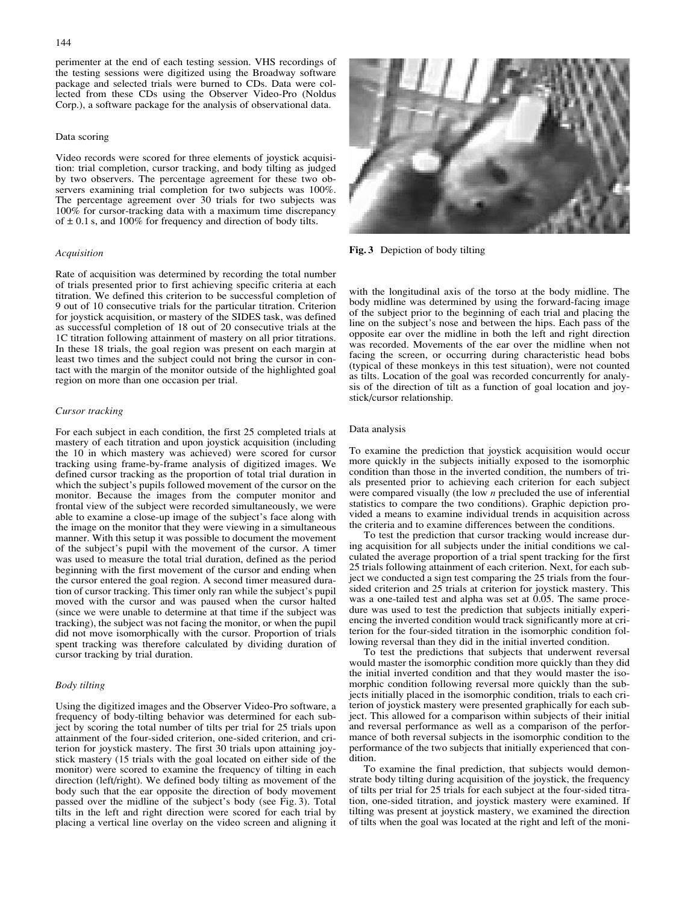perimenter at the end of each testing session. VHS recordings of the testing sessions were digitized using the Broadway software package and selected trials were burned to CDs. Data were collected from these CDs using the Observer Video-Pro (Noldus Corp.), a software package for the analysis of observational data.

## Data scoring

Video records were scored for three elements of joystick acquisition: trial completion, cursor tracking, and body tilting as judged by two observers. The percentage agreement for these two observers examining trial completion for two subjects was 100%. The percentage agreement over 30 trials for two subjects was 100% for cursor-tracking data with a maximum time discrepancy of  $\pm$  0.1 s, and 100% for frequency and direction of body tilts.

### *Acquisition*

Rate of acquisition was determined by recording the total number of trials presented prior to first achieving specific criteria at each titration. We defined this criterion to be successful completion of 9 out of 10 consecutive trials for the particular titration. Criterion for joystick acquisition, or mastery of the SIDES task, was defined as successful completion of 18 out of 20 consecutive trials at the 1C titration following attainment of mastery on all prior titrations. In these 18 trials, the goal region was present on each margin at least two times and the subject could not bring the cursor in contact with the margin of the monitor outside of the highlighted goal region on more than one occasion per trial.

#### *Cursor tracking*

For each subject in each condition, the first 25 completed trials at mastery of each titration and upon joystick acquisition (including the 10 in which mastery was achieved) were scored for cursor tracking using frame-by-frame analysis of digitized images. We defined cursor tracking as the proportion of total trial duration in which the subject's pupils followed movement of the cursor on the monitor. Because the images from the computer monitor and frontal view of the subject were recorded simultaneously, we were able to examine a close-up image of the subject's face along with the image on the monitor that they were viewing in a simultaneous manner. With this setup it was possible to document the movement of the subject's pupil with the movement of the cursor. A timer was used to measure the total trial duration, defined as the period beginning with the first movement of the cursor and ending when the cursor entered the goal region. A second timer measured duration of cursor tracking. This timer only ran while the subject's pupil moved with the cursor and was paused when the cursor halted (since we were unable to determine at that time if the subject was tracking), the subject was not facing the monitor, or when the pupil did not move isomorphically with the cursor. Proportion of trials spent tracking was therefore calculated by dividing duration of cursor tracking by trial duration.

#### *Body tilting*

Using the digitized images and the Observer Video-Pro software, a frequency of body-tilting behavior was determined for each subject by scoring the total number of tilts per trial for 25 trials upon attainment of the four-sided criterion, one-sided criterion, and criterion for joystick mastery. The first 30 trials upon attaining joystick mastery (15 trials with the goal located on either side of the monitor) were scored to examine the frequency of tilting in each direction (left/right). We defined body tilting as movement of the body such that the ear opposite the direction of body movement passed over the midline of the subject's body (see Fig. 3). Total tilts in the left and right direction were scored for each trial by placing a vertical line overlay on the video screen and aligning it



**Fig. 3** Depiction of body tilting

with the longitudinal axis of the torso at the body midline. The body midline was determined by using the forward-facing image of the subject prior to the beginning of each trial and placing the line on the subject's nose and between the hips. Each pass of the opposite ear over the midline in both the left and right direction was recorded. Movements of the ear over the midline when not facing the screen, or occurring during characteristic head bobs (typical of these monkeys in this test situation), were not counted as tilts. Location of the goal was recorded concurrently for analysis of the direction of tilt as a function of goal location and joystick/cursor relationship.

### Data analysis

To examine the prediction that joystick acquisition would occur more quickly in the subjects initially exposed to the isomorphic condition than those in the inverted condition, the numbers of trials presented prior to achieving each criterion for each subject were compared visually (the low *n* precluded the use of inferential statistics to compare the two conditions). Graphic depiction provided a means to examine individual trends in acquisition across the criteria and to examine differences between the conditions.

To test the prediction that cursor tracking would increase during acquisition for all subjects under the initial conditions we calculated the average proportion of a trial spent tracking for the first 25 trials following attainment of each criterion. Next, for each subject we conducted a sign test comparing the 25 trials from the foursided criterion and 25 trials at criterion for joystick mastery. This was a one-tailed test and alpha was set at 0.05. The same procedure was used to test the prediction that subjects initially experiencing the inverted condition would track significantly more at criterion for the four-sided titration in the isomorphic condition following reversal than they did in the initial inverted condition.

To test the predictions that subjects that underwent reversal would master the isomorphic condition more quickly than they did the initial inverted condition and that they would master the isomorphic condition following reversal more quickly than the subjects initially placed in the isomorphic condition, trials to each criterion of joystick mastery were presented graphically for each subject. This allowed for a comparison within subjects of their initial and reversal performance as well as a comparison of the performance of both reversal subjects in the isomorphic condition to the performance of the two subjects that initially experienced that condition.

To examine the final prediction, that subjects would demonstrate body tilting during acquisition of the joystick, the frequency of tilts per trial for 25 trials for each subject at the four-sided titration, one-sided titration, and joystick mastery were examined. If tilting was present at joystick mastery, we examined the direction of tilts when the goal was located at the right and left of the moni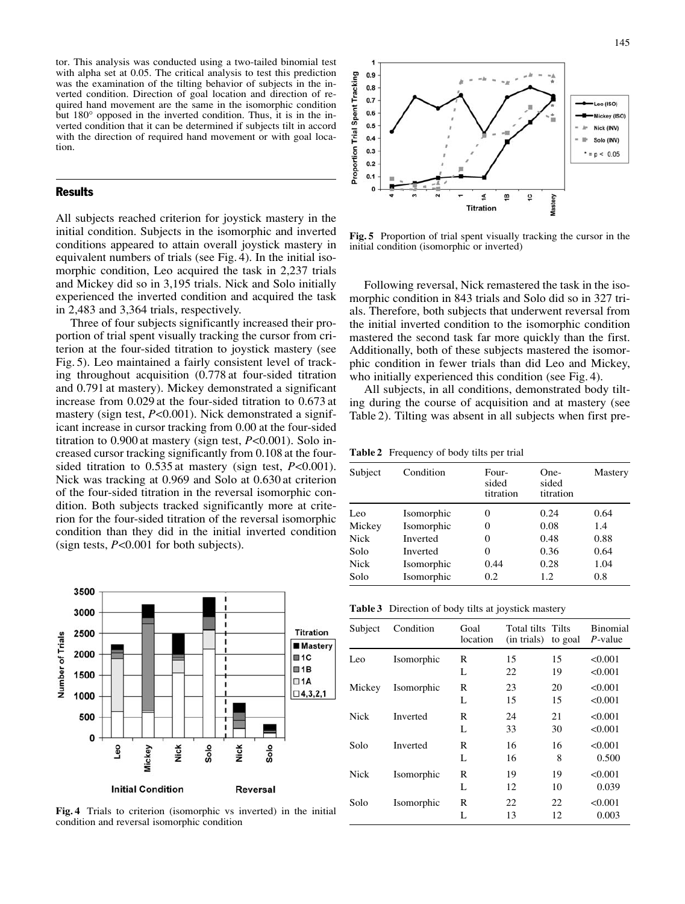tor. This analysis was conducted using a two-tailed binomial test with alpha set at 0.05. The critical analysis to test this prediction was the examination of the tilting behavior of subjects in the inverted condition. Direction of goal location and direction of required hand movement are the same in the isomorphic condition but 180° opposed in the inverted condition. Thus, it is in the inverted condition that it can be determined if subjects tilt in accord with the direction of required hand movement or with goal location.

# **Results**

All subjects reached criterion for joystick mastery in the initial condition. Subjects in the isomorphic and inverted conditions appeared to attain overall joystick mastery in equivalent numbers of trials (see Fig. 4). In the initial isomorphic condition, Leo acquired the task in 2,237 trials and Mickey did so in 3,195 trials. Nick and Solo initially experienced the inverted condition and acquired the task in 2,483 and 3,364 trials, respectively.

Three of four subjects significantly increased their proportion of trial spent visually tracking the cursor from criterion at the four-sided titration to joystick mastery (see Fig. 5). Leo maintained a fairly consistent level of tracking throughout acquisition (0.778 at four-sided titration and 0.791 at mastery). Mickey demonstrated a significant increase from 0.029 at the four-sided titration to 0.673 at mastery (sign test, *P*<0.001). Nick demonstrated a significant increase in cursor tracking from 0.00 at the four-sided titration to 0.900 at mastery (sign test, *P*<0.001). Solo increased cursor tracking significantly from 0.108 at the foursided titration to 0.535 at mastery (sign test, *P*<0.001). Nick was tracking at 0.969 and Solo at 0.630 at criterion of the four-sided titration in the reversal isomorphic condition. Both subjects tracked significantly more at criterion for the four-sided titration of the reversal isomorphic condition than they did in the initial inverted condition (sign tests, *P*<0.001 for both subjects).



**Fig. 4** Trials to criterion (isomorphic vs inverted) in the initial condition and reversal isomorphic condition



**Fig. 5** Proportion of trial spent visually tracking the cursor in the initial condition (isomorphic or inverted)

Following reversal, Nick remastered the task in the isomorphic condition in 843 trials and Solo did so in 327 trials. Therefore, both subjects that underwent reversal from the initial inverted condition to the isomorphic condition mastered the second task far more quickly than the first. Additionally, both of these subjects mastered the isomorphic condition in fewer trials than did Leo and Mickey, who initially experienced this condition (see Fig. 4).

All subjects, in all conditions, demonstrated body tilting during the course of acquisition and at mastery (see Table 2). Tilting was absent in all subjects when first pre-

**Table 2** Frequency of body tilts per trial

| Subject     | Condition  | Four-<br>sided<br>titration | One-<br>sided<br>titration | Mastery |
|-------------|------------|-----------------------------|----------------------------|---------|
| Leo         | Isomorphic | 0                           | 0.24                       | 0.64    |
| Mickey      | Isomorphic | 0                           | 0.08                       | 1.4     |
| Nick        | Inverted   | 0                           | 0.48                       | 0.88    |
| Solo        | Inverted   | 0                           | 0.36                       | 0.64    |
| <b>Nick</b> | Isomorphic | 0.44                        | 0.28                       | 1.04    |
| Solo        | Isomorphic | 0.2                         | 1.2.                       | 0.8     |

**Table 3** Direction of body tilts at joystick mastery

| Subject     | Condition  | Goal<br>location | Total tilts Tilts<br>(in trials) | to goal | <b>Binomial</b><br>$P$ -value |
|-------------|------------|------------------|----------------------------------|---------|-------------------------------|
| Leo         | Isomorphic | R                | 15                               | 15      | < 0.001                       |
|             |            | L                | 22                               | 19      | < 0.001                       |
| Mickey      | Isomorphic | R                | 23                               | 20      | < 0.001                       |
|             |            | L                | 15                               | 15      | < 0.001                       |
| <b>Nick</b> | Inverted   | R                | 24                               | 21      | < 0.001                       |
|             |            | L                | 33                               | 30      | < 0.001                       |
| Solo        | Inverted   | R                | 16                               | 16      | < 0.001                       |
|             |            | L                | 16                               | 8       | 0.500                         |
| <b>Nick</b> | Isomorphic | R                | 19                               | 19      | < 0.001                       |
|             |            | L                | 12                               | 10      | 0.039                         |
| Solo        | Isomorphic | R                | 22                               | 22      | < 0.001                       |
|             |            | L                | 13                               | 12      | 0.003                         |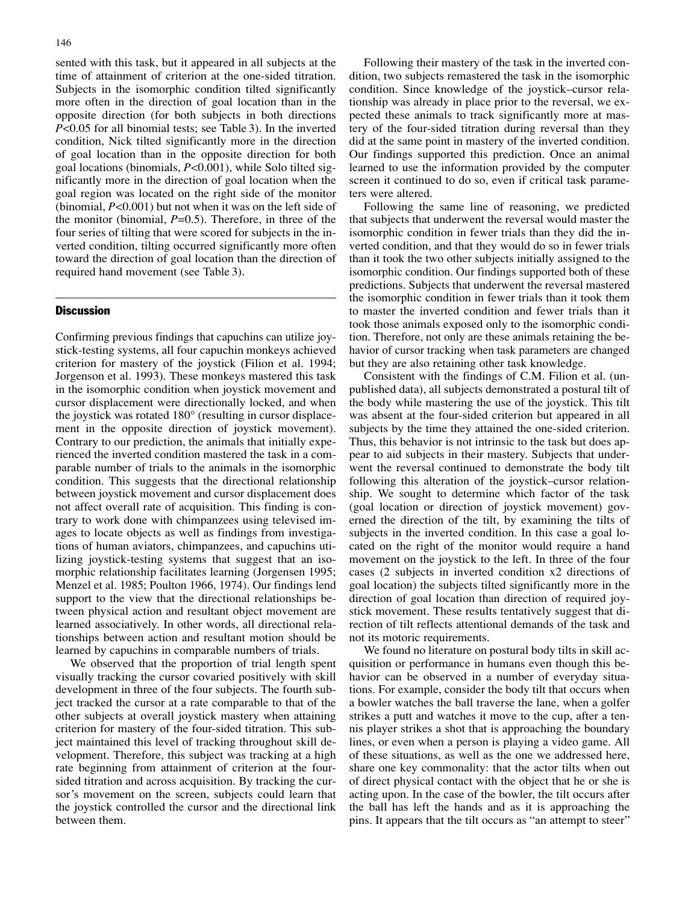sented with this task, but it appeared in all subjects at the time of attainment of criterion at the one-sided titration. Subjects in the isomorphic condition tilted significantly more often in the direction of goal location than in the opposite direction (for both subjects in both directions *P*<0.05 for all binomial tests; see Table 3). In the inverted condition, Nick tilted significantly more in the direction of goal location than in the opposite direction for both goal locations (binomials, *P*<0.001), while Solo tilted significantly more in the direction of goal location when the goal region was located on the right side of the monitor (binomial, *P*<0.001) but not when it was on the left side of the monitor (binomial, *P*=0.5). Therefore, in three of the four series of tilting that were scored for subjects in the inverted condition, tilting occurred significantly more often toward the direction of goal location than the direction of required hand movement (see Table 3).

# **Discussion**

Confirming previous findings that capuchins can utilize joystick-testing systems, all four capuchin monkeys achieved criterion for mastery of the joystick (Filion et al. 1994; Jorgenson et al. 1993). These monkeys mastered this task in the isomorphic condition when joystick movement and cursor displacement were directionally locked, and when the joystick was rotated 180° (resulting in cursor displacement in the opposite direction of joystick movement). Contrary to our prediction, the animals that initially experienced the inverted condition mastered the task in a comparable number of trials to the animals in the isomorphic condition. This suggests that the directional relationship between joystick movement and cursor displacement does not affect overall rate of acquisition. This finding is contrary to work done with chimpanzees using televised images to locate objects as well as findings from investigations of human aviators, chimpanzees, and capuchins utilizing joystick-testing systems that suggest that an isomorphic relationship facilitates learning (Jorgensen 1995; Menzel et al. 1985; Poulton 1966, 1974). Our findings lend support to the view that the directional relationships between physical action and resultant object movement are learned associatively. In other words, all directional relationships between action and resultant motion should be learned by capuchins in comparable numbers of trials.

We observed that the proportion of trial length spent visually tracking the cursor covaried positively with skill development in three of the four subjects. The fourth subject tracked the cursor at a rate comparable to that of the other subjects at overall joystick mastery when attaining criterion for mastery of the four-sided titration. This subject maintained this level of tracking throughout skill development. Therefore, this subject was tracking at a high rate beginning from attainment of criterion at the foursided titration and across acquisition. By tracking the cursor's movement on the screen, subjects could learn that the joystick controlled the cursor and the directional link between them.

Following their mastery of the task in the inverted condition, two subjects remastered the task in the isomorphic condition. Since knowledge of the joystick–cursor relationship was already in place prior to the reversal, we expected these animals to track significantly more at mastery of the four-sided titration during reversal than they did at the same point in mastery of the inverted condition. Our findings supported this prediction. Once an animal learned to use the information provided by the computer screen it continued to do so, even if critical task parameters were altered.

Following the same line of reasoning, we predicted that subjects that underwent the reversal would master the isomorphic condition in fewer trials than they did the inverted condition, and that they would do so in fewer trials than it took the two other subjects initially assigned to the isomorphic condition. Our findings supported both of these predictions. Subjects that underwent the reversal mastered the isomorphic condition in fewer trials than it took them to master the inverted condition and fewer trials than it took those animals exposed only to the isomorphic condition. Therefore, not only are these animals retaining the behavior of cursor tracking when task parameters are changed but they are also retaining other task knowledge.

Consistent with the findings of C.M. Filion et al. (unpublished data), all subjects demonstrated a postural tilt of the body while mastering the use of the joystick. This tilt was absent at the four-sided criterion but appeared in all subjects by the time they attained the one-sided criterion. Thus, this behavior is not intrinsic to the task but does appear to aid subjects in their mastery. Subjects that underwent the reversal continued to demonstrate the body tilt following this alteration of the joystick–cursor relationship. We sought to determine which factor of the task (goal location or direction of joystick movement) governed the direction of the tilt, by examining the tilts of subjects in the inverted condition. In this case a goal located on the right of the monitor would require a hand movement on the joystick to the left. In three of the four cases (2 subjects in inverted condition x2 directions of goal location) the subjects tilted significantly more in the direction of goal location than direction of required joystick movement. These results tentatively suggest that direction of tilt reflects attentional demands of the task and not its motoric requirements.

We found no literature on postural body tilts in skill acquisition or performance in humans even though this behavior can be observed in a number of everyday situations. For example, consider the body tilt that occurs when a bowler watches the ball traverse the lane, when a golfer strikes a putt and watches it move to the cup, after a tennis player strikes a shot that is approaching the boundary lines, or even when a person is playing a video game. All of these situations, as well as the one we addressed here, share one key commonality: that the actor tilts when out of direct physical contact with the object that he or she is acting upon. In the case of the bowler, the tilt occurs after the ball has left the hands and as it is approaching the pins. It appears that the tilt occurs as "an attempt to steer"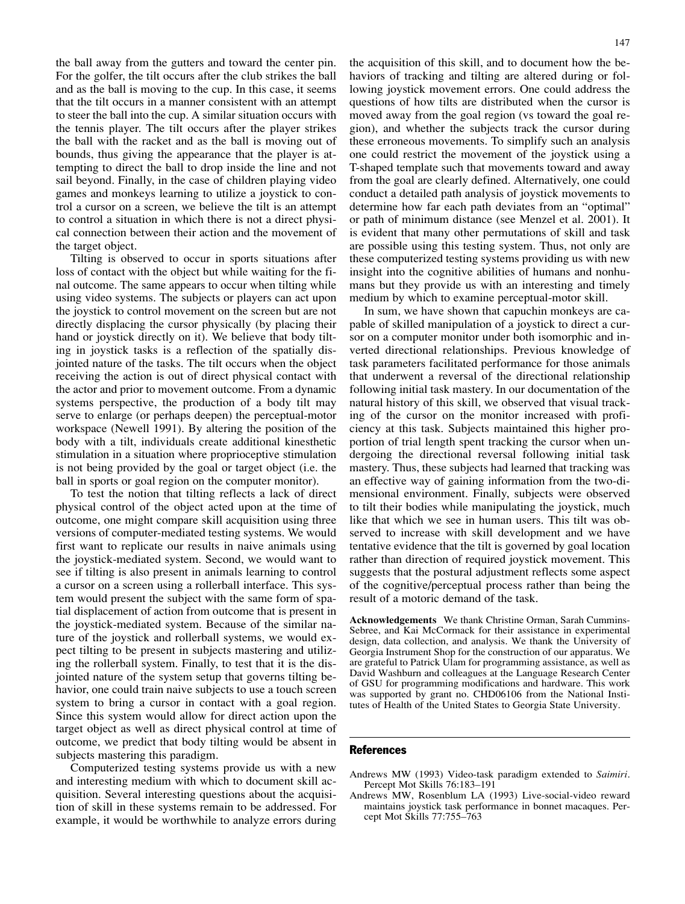the ball away from the gutters and toward the center pin. For the golfer, the tilt occurs after the club strikes the ball and as the ball is moving to the cup. In this case, it seems that the tilt occurs in a manner consistent with an attempt to steer the ball into the cup. A similar situation occurs with the tennis player. The tilt occurs after the player strikes the ball with the racket and as the ball is moving out of bounds, thus giving the appearance that the player is attempting to direct the ball to drop inside the line and not sail beyond. Finally, in the case of children playing video games and monkeys learning to utilize a joystick to control a cursor on a screen, we believe the tilt is an attempt to control a situation in which there is not a direct physical connection between their action and the movement of the target object.

Tilting is observed to occur in sports situations after loss of contact with the object but while waiting for the final outcome. The same appears to occur when tilting while using video systems. The subjects or players can act upon the joystick to control movement on the screen but are not directly displacing the cursor physically (by placing their hand or joystick directly on it). We believe that body tilting in joystick tasks is a reflection of the spatially disjointed nature of the tasks. The tilt occurs when the object receiving the action is out of direct physical contact with the actor and prior to movement outcome. From a dynamic systems perspective, the production of a body tilt may serve to enlarge (or perhaps deepen) the perceptual-motor workspace (Newell 1991). By altering the position of the body with a tilt, individuals create additional kinesthetic stimulation in a situation where proprioceptive stimulation is not being provided by the goal or target object (i.e. the ball in sports or goal region on the computer monitor).

To test the notion that tilting reflects a lack of direct physical control of the object acted upon at the time of outcome, one might compare skill acquisition using three versions of computer-mediated testing systems. We would first want to replicate our results in naive animals using the joystick-mediated system. Second, we would want to see if tilting is also present in animals learning to control a cursor on a screen using a rollerball interface. This system would present the subject with the same form of spatial displacement of action from outcome that is present in the joystick-mediated system. Because of the similar nature of the joystick and rollerball systems, we would expect tilting to be present in subjects mastering and utilizing the rollerball system. Finally, to test that it is the disjointed nature of the system setup that governs tilting behavior, one could train naive subjects to use a touch screen system to bring a cursor in contact with a goal region. Since this system would allow for direct action upon the target object as well as direct physical control at time of outcome, we predict that body tilting would be absent in subjects mastering this paradigm.

Computerized testing systems provide us with a new and interesting medium with which to document skill acquisition. Several interesting questions about the acquisition of skill in these systems remain to be addressed. For example, it would be worthwhile to analyze errors during

the acquisition of this skill, and to document how the behaviors of tracking and tilting are altered during or following joystick movement errors. One could address the questions of how tilts are distributed when the cursor is moved away from the goal region (vs toward the goal region), and whether the subjects track the cursor during these erroneous movements. To simplify such an analysis one could restrict the movement of the joystick using a T-shaped template such that movements toward and away from the goal are clearly defined. Alternatively, one could conduct a detailed path analysis of joystick movements to determine how far each path deviates from an "optimal" or path of minimum distance (see Menzel et al. 2001). It is evident that many other permutations of skill and task are possible using this testing system. Thus, not only are these computerized testing systems providing us with new insight into the cognitive abilities of humans and nonhumans but they provide us with an interesting and timely medium by which to examine perceptual-motor skill.

In sum, we have shown that capuchin monkeys are capable of skilled manipulation of a joystick to direct a cursor on a computer monitor under both isomorphic and inverted directional relationships. Previous knowledge of task parameters facilitated performance for those animals that underwent a reversal of the directional relationship following initial task mastery. In our documentation of the natural history of this skill, we observed that visual tracking of the cursor on the monitor increased with proficiency at this task. Subjects maintained this higher proportion of trial length spent tracking the cursor when undergoing the directional reversal following initial task mastery. Thus, these subjects had learned that tracking was an effective way of gaining information from the two-dimensional environment. Finally, subjects were observed to tilt their bodies while manipulating the joystick, much like that which we see in human users. This tilt was observed to increase with skill development and we have tentative evidence that the tilt is governed by goal location rather than direction of required joystick movement. This suggests that the postural adjustment reflects some aspect of the cognitive/perceptual process rather than being the result of a motoric demand of the task.

**Acknowledgements** We thank Christine Orman, Sarah Cummins-Sebree, and Kai McCormack for their assistance in experimental design, data collection, and analysis. We thank the University of Georgia Instrument Shop for the construction of our apparatus. We are grateful to Patrick Ulam for programming assistance, as well as David Washburn and colleagues at the Language Research Center of GSU for programming modifications and hardware. This work was supported by grant no. CHD06106 from the National Institutes of Health of the United States to Georgia State University.

### **References**

- Andrews MW (1993) Video-task paradigm extended to *Saimiri*. Percept Mot Skills 76:183–191
- Andrews MW, Rosenblum LA (1993) Live-social-video reward maintains joystick task performance in bonnet macaques. Percept Mot Skills 77:755–763